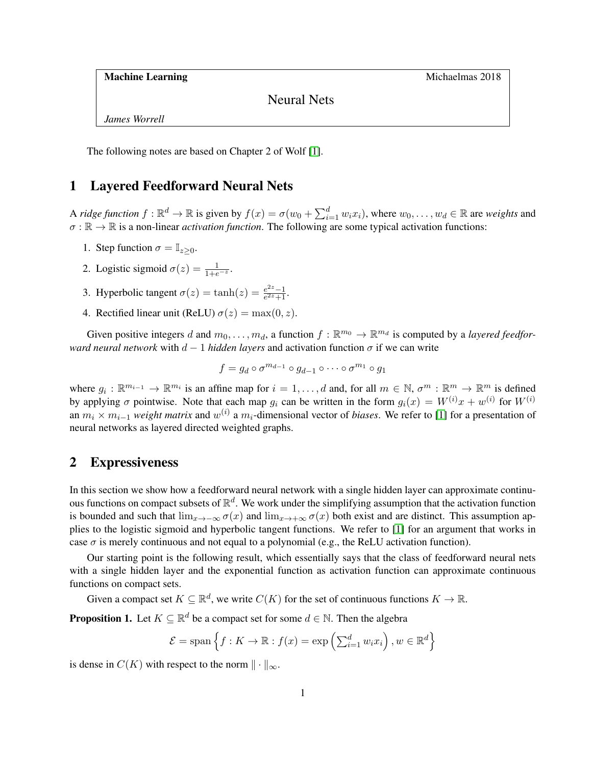Machine Learning Michaelmas 2018

Neural Nets

*James Worrell*

The following notes are based on Chapter 2 of Wolf [\[1\]](#page-5-0).

#### 1 Layered Feedforward Neural Nets

A *ridge function*  $f : \mathbb{R}^d \to \mathbb{R}$  is given by  $f(x) = \sigma(w_0 + \sum_{i=1}^d w_i x_i)$ , where  $w_0, \dots, w_d \in \mathbb{R}$  are *weights* and  $\sigma : \mathbb{R} \to \mathbb{R}$  is a non-linear *activation function*. The following are some typical activation functions:

- 1. Step function  $\sigma = \mathbb{I}_{z>0}$ .
- 2. Logistic sigmoid  $\sigma(z) = \frac{1}{1+e^{-z}}$ .
- 3. Hyperbolic tangent  $\sigma(z) = \tanh(z) = \frac{e^{2z}-1}{e^{2z}+1}$  $\frac{e^{2z}-1}{e^{2z}+1}$ .
- 4. Rectified linear unit (ReLU)  $\sigma(z) = \max(0, z)$ .

Given positive integers d and  $m_0, \ldots, m_d$ , a function  $f : \mathbb{R}^{m_0} \to \mathbb{R}^{m_d}$  is computed by a *layered feedforward neural network* with  $d - 1$  *hidden layers* and activation function  $\sigma$  if we can write

$$
f = g_d \circ \sigma^{m_{d-1}} \circ g_{d-1} \circ \cdots \circ \sigma^{m_1} \circ g_1
$$

where  $g_i: \mathbb{R}^{m_{i-1}} \to \mathbb{R}^{m_i}$  is an affine map for  $i = 1, \ldots, d$  and, for all  $m \in \mathbb{N}$ ,  $\sigma^m: \mathbb{R}^m \to \mathbb{R}^m$  is defined by applying  $\sigma$  pointwise. Note that each map  $g_i$  can be written in the form  $g_i(x) = W^{(i)}x + w^{(i)}$  for  $W^{(i)}$ an  $m_i \times m_{i-1}$  *weight matrix* and  $w^{(i)}$  a  $m_i$ -dimensional vector of *biases*. We refer to [\[1\]](#page-5-0) for a presentation of neural networks as layered directed weighted graphs.

#### <span id="page-0-1"></span>2 Expressiveness

In this section we show how a feedforward neural network with a single hidden layer can approximate continuous functions on compact subsets of  $\mathbb{R}^d$ . We work under the simplifying assumption that the activation function is bounded and such that  $\lim_{x\to-\infty} \sigma(x)$  and  $\lim_{x\to+\infty} \sigma(x)$  both exist and are distinct. This assumption applies to the logistic sigmoid and hyperbolic tangent functions. We refer to [\[1\]](#page-5-0) for an argument that works in case  $\sigma$  is merely continuous and not equal to a polynomial (e.g., the ReLU activation function).

Our starting point is the following result, which essentially says that the class of feedforward neural nets with a single hidden layer and the exponential function as activation function can approximate continuous functions on compact sets.

Given a compact set  $K \subseteq \mathbb{R}^d$ , we write  $C(K)$  for the set of continuous functions  $K \to \mathbb{R}$ .

<span id="page-0-0"></span>**Proposition 1.** Let  $K \subseteq \mathbb{R}^d$  be a compact set for some  $d \in \mathbb{N}$ . Then the algebra

$$
\mathcal{E} = \text{span}\left\{ f: K \to \mathbb{R} : f(x) = \exp\left(\sum_{i=1}^d w_i x_i\right), w \in \mathbb{R}^d \right\}
$$

is dense in  $C(K)$  with respect to the norm  $\| \cdot \|_{\infty}$ .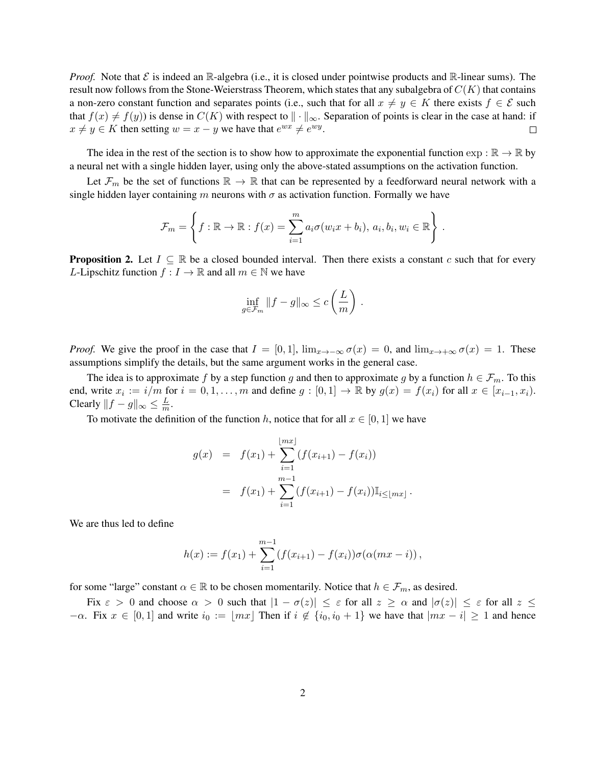*Proof.* Note that  $\mathcal{E}$  is indeed an R-algebra (i.e., it is closed under pointwise products and R-linear sums). The result now follows from the Stone-Weierstrass Theorem, which states that any subalgebra of  $C(K)$  that contains a non-zero constant function and separates points (i.e., such that for all  $x \neq y \in K$  there exists  $f \in \mathcal{E}$  such that  $f(x) \neq f(y)$  is dense in  $C(K)$  with respect to  $\|\cdot\|_{\infty}$ . Separation of points is clear in the case at hand: if  $x \neq y \in K$  then setting  $w = x - y$  we have that  $e^{wx} \neq e^{wy}$ .  $\Box$ 

The idea in the rest of the section is to show how to approximate the exponential function  $\exp : \mathbb{R} \to \mathbb{R}$  by a neural net with a single hidden layer, using only the above-stated assumptions on the activation function.

Let  $\mathcal{F}_m$  be the set of functions  $\mathbb{R} \to \mathbb{R}$  that can be represented by a feedforward neural network with a single hidden layer containing m neurons with  $\sigma$  as activation function. Formally we have

$$
\mathcal{F}_m = \left\{ f : \mathbb{R} \to \mathbb{R} : f(x) = \sum_{i=1}^m a_i \sigma(w_i x + b_i), \ a_i, b_i, w_i \in \mathbb{R} \right\} .
$$

<span id="page-1-0"></span>**Proposition 2.** Let  $I \subseteq \mathbb{R}$  be a closed bounded interval. Then there exists a constant c such that for every L-Lipschitz function  $f: I \to \mathbb{R}$  and all  $m \in \mathbb{N}$  we have

$$
\inf_{g \in \mathcal{F}_m} \|f - g\|_{\infty} \le c \left(\frac{L}{m}\right).
$$

*Proof.* We give the proof in the case that  $I = [0, 1]$ ,  $\lim_{x \to -\infty} \sigma(x) = 0$ , and  $\lim_{x \to +\infty} \sigma(x) = 1$ . These assumptions simplify the details, but the same argument works in the general case.

The idea is to approximate f by a step function g and then to approximate g by a function  $h \in \mathcal{F}_m$ . To this end, write  $x_i := i/m$  for  $i = 0, 1, ..., m$  and define  $g : [0, 1] \to \mathbb{R}$  by  $g(x) = f(x_i)$  for all  $x \in [x_{i-1}, x_i)$ . Clearly  $||f - g||_{\infty} \le \frac{L}{m}$  $\frac{L}{m}$ .

To motivate the definition of the function h, notice that for all  $x \in [0, 1]$  we have

$$
g(x) = f(x_1) + \sum_{i=1}^{\lfloor mx \rfloor} (f(x_{i+1}) - f(x_i))
$$
  
=  $f(x_1) + \sum_{i=1}^{m-1} (f(x_{i+1}) - f(x_i)) \mathbb{I}_{i \leq \lfloor mx \rfloor}.$ 

We are thus led to define

$$
h(x) := f(x_1) + \sum_{i=1}^{m-1} (f(x_{i+1}) - f(x_i))\sigma(\alpha(mx - i)),
$$

for some "large" constant  $\alpha \in \mathbb{R}$  to be chosen momentarily. Notice that  $h \in \mathcal{F}_m$ , as desired.

Fix  $\varepsilon > 0$  and choose  $\alpha > 0$  such that  $|1 - \sigma(z)| \le \varepsilon$  for all  $z \ge \alpha$  and  $|\sigma(z)| \le \varepsilon$  for all  $z \le \varepsilon$  $-\alpha$ . Fix  $x \in [0,1]$  and write  $i_0 := |mx|$  Then if  $i \notin \{i_0, i_0 + 1\}$  we have that  $|mx - i| \ge 1$  and hence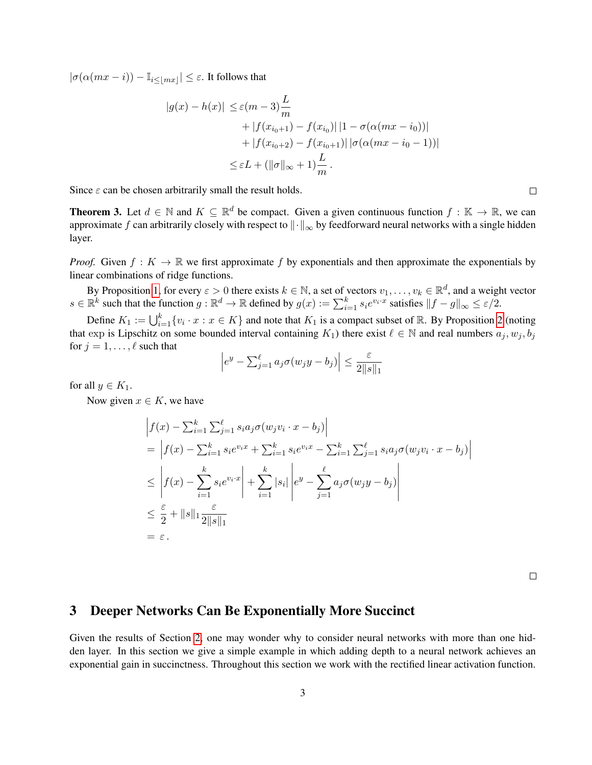$|\sigma(\alpha(mx - i)) - \mathbb{I}_{i \leq |mx|} | \leq \varepsilon$ . It follows that

$$
|g(x) - h(x)| \leq \varepsilon (m - 3) \frac{L}{m}
$$
  
+ |f(x<sub>i<sub>0</sub>+1) - f(x<sub>i<sub>0</sub></sub>)| |1 - \sigma(\alpha(mx - i<sub>0</sub>))|  
+ |f(x<sub>i<sub>0</sub>+2) - f(x<sub>i<sub>0</sub>+1</sub>)| |\sigma(\alpha(mx - i<sub>0</sub> - 1))|  
\leq \varepsilon L + (||\sigma||\_{\infty} + 1) \frac{L}{m}.</sub></sub>

Since  $\varepsilon$  can be chosen arbitrarily small the result holds.

**Theorem 3.** Let  $d \in \mathbb{N}$  and  $K \subseteq \mathbb{R}^d$  be compact. Given a given continuous function  $f : \mathbb{K} \to \mathbb{R}$ , we can approximate f can arbitrarily closely with respect to  $\|\cdot\|_{\infty}$  by feedforward neural networks with a single hidden layer.

*Proof.* Given  $f: K \to \mathbb{R}$  we first approximate f by exponentials and then approximate the exponentials by linear combinations of ridge functions.

By Proposition [1,](#page-0-0) for every  $\varepsilon > 0$  there exists  $k \in \mathbb{N}$ , a set of vectors  $v_1, \dots, v_k \in \mathbb{R}^d$ , and a weight vector  $s \in \mathbb{R}^k$  such that the function  $g: \mathbb{R}^d \to \mathbb{R}$  defined by  $g(x) := \sum_{i=1}^k s_i e^{v_i \cdot x}$  satisfies  $||f - g||_{\infty} \le \varepsilon/2$ .

Define  $K_1 := \bigcup_{i=1}^k \{v_i \cdot x : x \in K\}$  and note that  $K_1$  is a compact subset of R. By Proposition [2](#page-1-0) (noting that exp is Lipschitz on some bounded interval containing  $K_1$ ) there exist  $\ell \in \mathbb{N}$  and real numbers  $a_j, w_j, b_j$ for  $j = 1, \ldots, \ell$  such that

$$
\left| e^y - \sum_{j=1}^{\ell} a_j \sigma(w_j y - b_j) \right| \leq \frac{\varepsilon}{2||s||_1}
$$

for all  $y \in K_1$ .

Now given  $x \in K$ , we have

$$
\begin{split}\n\left| f(x) - \sum_{i=1}^{k} \sum_{j=1}^{\ell} s_i a_j \sigma(w_j v_i \cdot x - b_j) \right| \\
&= \left| f(x) - \sum_{i=1}^{k} s_i e^{v_i x} + \sum_{i=1}^{k} s_i e^{v_i x} - \sum_{i=1}^{k} \sum_{j=1}^{\ell} s_i a_j \sigma(w_j v_i \cdot x - b_j) \right| \\
&\leq \left| f(x) - \sum_{i=1}^{k} s_i e^{v_i \cdot x} \right| + \sum_{i=1}^{k} |s_i| \left| e^y - \sum_{j=1}^{\ell} a_j \sigma(w_j y - b_j) \right| \\
&\leq \frac{\varepsilon}{2} + ||s||_1 \frac{\varepsilon}{2||s||_1} \\
&= \varepsilon.\n\end{split}
$$

 $\Box$ 

# 3 Deeper Networks Can Be Exponentially More Succinct

Given the results of Section [2,](#page-0-1) one may wonder why to consider neural networks with more than one hidden layer. In this section we give a simple example in which adding depth to a neural network achieves an exponential gain in succinctness. Throughout this section we work with the rectified linear activation function.

 $\Box$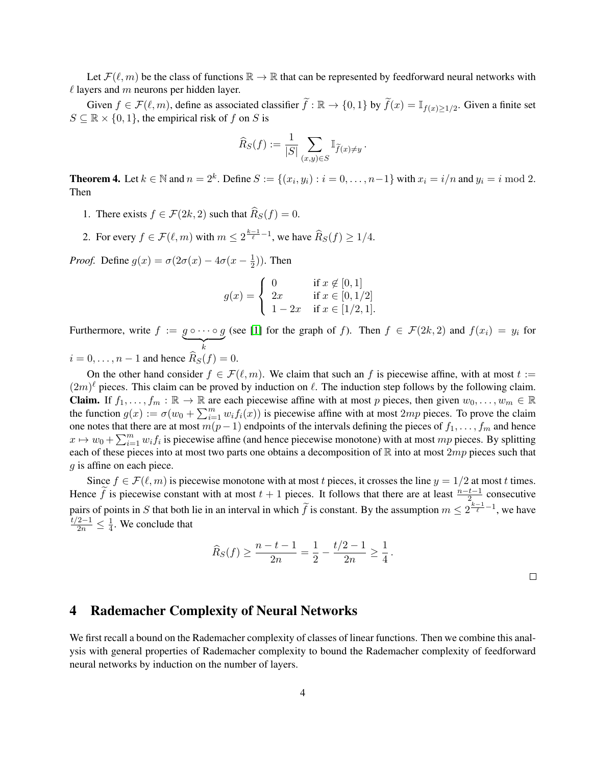Let  $\mathcal{F}(\ell, m)$  be the class of functions  $\mathbb{R} \to \mathbb{R}$  that can be represented by feedforward neural networks with  $\ell$  layers and m neurons per hidden layer.

Given  $f \in \mathcal{F}(\ell, m)$ , define as associated classifier  $\tilde{f} : \mathbb{R} \to \{0, 1\}$  by  $\tilde{f}(x) = \mathbb{I}_{f(x) \ge 1/2}$ . Given a finite set  $S \subseteq \mathbb{R} \times \{0, 1\}$ , the empirical risk of f on S is

$$
\widehat{R}_S(f) := \frac{1}{|S|} \sum_{(x,y)\in S} \mathbb{I}_{\widetilde{f}(x)\neq y}.
$$

**Theorem 4.** Let  $k \in \mathbb{N}$  and  $n = 2^k$ . Define  $S := \{(x_i, y_i) : i = 0, \dots, n-1\}$  with  $x_i = i/n$  and  $y_i = i \mod 2$ . Then

- 1. There exists  $f \in \mathcal{F}(2k, 2)$  such that  $\widehat{R}_S(f) = 0$ .
- 2. For every  $f \in \mathcal{F}(\ell, m)$  with  $m \leq 2^{\frac{k-1}{\ell}-1}$ , we have  $\widehat{R}_S(f) \geq 1/4$ .

*Proof.* Define  $g(x) = \sigma(2\sigma(x) - 4\sigma(x - \frac{1}{2}))$  $(\frac{1}{2})$ ). Then

$$
g(x) = \begin{cases} 0 & \text{if } x \notin [0, 1] \\ 2x & \text{if } x \in [0, 1/2] \\ 1 - 2x & \text{if } x \in [1/2, 1]. \end{cases}
$$

Furthermore, write  $f := g \circ \cdots \circ g$  $\overbrace{k}$ (see [\[1\]](#page-5-0) for the graph of f). Then  $f \in \mathcal{F}(2k,2)$  and  $f(x_i) = y_i$  for  $i = 0, \ldots, n - 1$  and hence  $R_S(f) = 0$ .

On the other hand consider  $f \in \mathcal{F}(\ell, m)$ . We claim that such an f is piecewise affine, with at most  $t :=$  $(2m)^{\ell}$  pieces. This claim can be proved by induction on  $\ell$ . The induction step follows by the following claim. **Claim.** If  $f_1, \ldots, f_m : \mathbb{R} \to \mathbb{R}$  are each piecewise affine with at most p pieces, then given  $w_0, \ldots, w_m \in \mathbb{R}$ the function  $g(x) := \sigma(w_0 + \sum_{i=1}^m w_i f_i(x))$  is piecewise affine with at most  $2mp$  pieces. To prove the claim one notes that there are at most  $m(p-1)$  endpoints of the intervals defining the pieces of  $f_1, \ldots, f_m$  and hence  $x \mapsto w_0 + \sum_{i=1}^m w_i f_i$  is piecewise affine (and hence piecewise monotone) with at most mp pieces. By splitting each of these pieces into at most two parts one obtains a decomposition of  $\mathbb R$  into at most  $2mp$  pieces such that g is affine on each piece.

Since  $f \in \mathcal{F}(\ell, m)$  is piecewise monotone with at most t pieces, it crosses the line  $y = 1/2$  at most t times. Hence  $\widetilde{f}$  is piecewise constant with at most  $t + 1$  pieces. It follows that there are at least  $\frac{n-t-1}{2}$  consecutive pairs of points in S that both lie in an interval in which  $\tilde{f}$  is constant. By the assumption  $m \leq 2^{\frac{k-1}{\ell}-1}$ , we have  $\frac{t/2-1}{2n} \leq \frac{1}{4}$  $\frac{1}{4}$ . We conclude that

$$
\widehat{R}_S(f) \ge \frac{n-t-1}{2n} = \frac{1}{2} - \frac{t/2 - 1}{2n} \ge \frac{1}{4}.
$$

# 4 Rademacher Complexity of Neural Networks

We first recall a bound on the Rademacher complexity of classes of linear functions. Then we combine this analysis with general properties of Rademacher complexity to bound the Rademacher complexity of feedforward neural networks by induction on the number of layers.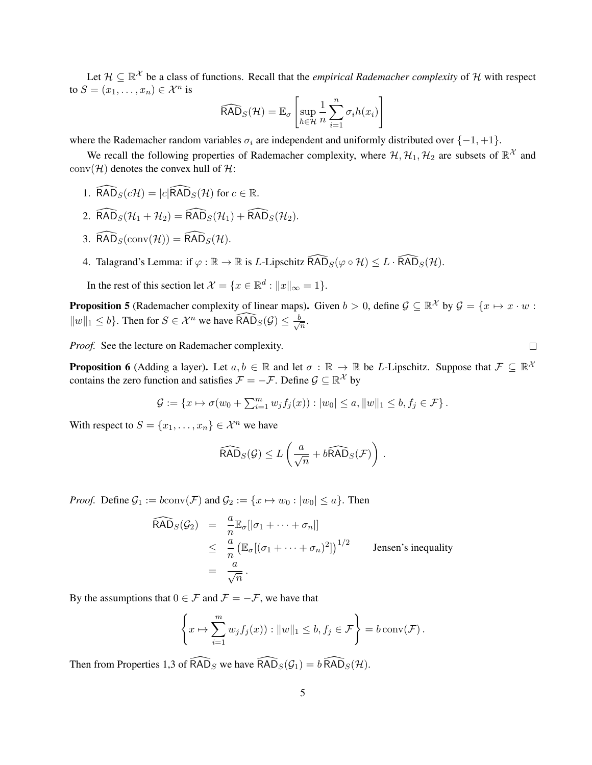Let  $\mathcal{H} \subseteq \mathbb{R}^{\mathcal{X}}$  be a class of functions. Recall that the *empirical Rademacher complexity* of  $\mathcal{H}$  with respect to  $S = (x_1, \ldots, x_n) \in \mathcal{X}^n$  is

$$
\widehat{\text{RAD}}_S(\mathcal{H}) = \mathbb{E}_{\sigma} \left[ \sup_{h \in \mathcal{H}} \frac{1}{n} \sum_{i=1}^n \sigma_i h(x_i) \right]
$$

where the Rademacher random variables  $\sigma_i$  are independent and uniformly distributed over  $\{-1, +1\}$ .

We recall the following properties of Rademacher complexity, where  $H, H_1, H_2$  are subsets of  $\mathbb{R}^{\mathcal{X}}$  and  $conv(\mathcal{H})$  denotes the convex hull of  $\mathcal{H}$ :

- 1.  $\widehat{\text{RAD}}_S(c\mathcal{H}) = |c|\widehat{\text{RAD}}_S(\mathcal{H})$  for  $c \in \mathbb{R}$ .
- 2.  $\widehat{\text{RAD}}_S(\mathcal{H}_1 + \mathcal{H}_2) = \widehat{\text{RAD}}_S(\mathcal{H}_1) + \widehat{\text{RAD}}_S(\mathcal{H}_2).$
- 3.  $\widehat{\mathsf{RAD}}_S(\mathrm{conv}(\mathcal{H})) = \widehat{\mathsf{RAD}}_S(\mathcal{H}).$
- 4. Talagrand's Lemma: if  $\varphi : \mathbb{R} \to \mathbb{R}$  is L-Lipschitz  $\widehat{\text{RAD}}_S(\varphi \circ \mathcal{H}) \leq L \cdot \widehat{\text{RAD}}_S(\mathcal{H})$ .

In the rest of this section let  $\mathcal{X} = \{x \in \mathbb{R}^d : ||x||_{\infty} = 1\}.$ 

<span id="page-4-0"></span>**Proposition 5** (Rademacher complexity of linear maps). Given  $b > 0$ , define  $\mathcal{G} \subseteq \mathbb{R}^{\mathcal{X}}$  by  $\mathcal{G} = \{x \mapsto x \cdot w : x \in \mathcal{G} \mid x \in \mathcal{G}\}$  $||w||_1 \leq b$ . Then for  $S \in \mathcal{X}^n$  we have  $\widehat{RAD}_S(\mathcal{G}) \leq \frac{b}{\sqrt{b}}$  $\frac{1}{n}$ .

 $\Box$ 

*Proof.* See the lecture on Rademacher complexity.

<span id="page-4-1"></span>**Proposition 6** (Adding a layer). Let  $a, b \in \mathbb{R}$  and let  $\sigma : \mathbb{R} \to \mathbb{R}$  be *L*-Lipschitz. Suppose that  $\mathcal{F} \subseteq \mathbb{R}^{\lambda}$ contains the zero function and satisfies  $\mathcal{F} = -\mathcal{F}$ . Define  $\mathcal{G} \subseteq \mathbb{R}^{\mathcal{X}}$  by

$$
\mathcal{G} := \{ x \mapsto \sigma(w_0 + \sum_{i=1}^m w_j f_j(x)) : |w_0| \le a, ||w||_1 \le b, f_j \in \mathcal{F} \}.
$$

With respect to  $S = \{x_1, \ldots, x_n\} \in \mathcal{X}^n$  we have

$$
\widehat{\text{RAD}}_S(\mathcal{G}) \leq L\left(\frac{a}{\sqrt{n}} + b\widehat{\text{RAD}}_S(\mathcal{F})\right).
$$

*Proof.* Define  $\mathcal{G}_1 := \text{bconv}(\mathcal{F})$  and  $\mathcal{G}_2 := \{x \mapsto w_0 : |w_0| \leq a\}$ . Then

$$
\widehat{\text{RAD}}_{S}(\mathcal{G}_{2}) = \frac{a}{n} \mathbb{E}_{\sigma} [|\sigma_{1} + \dots + \sigma_{n}|]
$$
\n
$$
\leq \frac{a}{n} \left( \mathbb{E}_{\sigma} [(\sigma_{1} + \dots + \sigma_{n})^{2}] \right)^{1/2}
$$
 Jensen's inequality\n
$$
= \frac{a}{\sqrt{n}}.
$$

By the assumptions that  $0 \in \mathcal{F}$  and  $\mathcal{F} = -\mathcal{F}$ , we have that

$$
\left\{ x \mapsto \sum_{i=1}^m w_j f_j(x) \mid ||w||_1 \le b, f_j \in \mathcal{F} \right\} = b \operatorname{conv}(\mathcal{F}).
$$

Then from Properties 1,3 of  $\widehat{RAD}_S$  we have  $\widehat{RAD}_S(\mathcal{G}_1) = b \widehat{RAD}_S(\mathcal{H})$ .